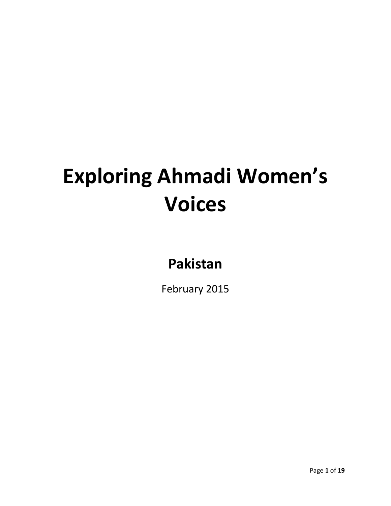# **Exploring Ahmadi Women's Voices**

**Pakistan**

February 2015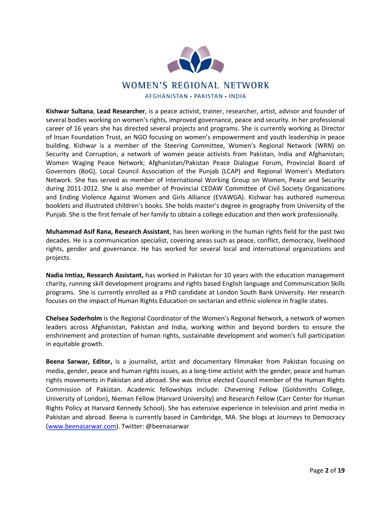

**Kishwar Sultana**, **Lead Researcher**, is a peace activist, trainer, researcher, artist, advisor and founder of several bodies working on women's rights, improved governance, peace and security. In her professional career of 16 years she has directed several projects and programs. She is currently working as Director of Insan Foundation Trust, an NGO focusing on women's empowerment and youth leadership in peace building. Kishwar is a member of the Steering Committee, Women's Regional Network (WRN) on Security and Corruption, a network of women peace activists from Pakistan, India and Afghanistan; Women Waging Peace Network; Afghanistan/Pakistan Peace Dialogue Forum, Provincial Board of Governors (BoG), Local Council Association of the Punjab (LCAP) and Regional Women's Mediators Network. She has served as member of International Working Group on Women, Peace and Security during 2011-2012. She is also member of Provincial CEDAW Committee of Civil Society Organizations and Ending Violence Against Women and Girls Alliance (EVAWGA). Kishwar has authored numerous booklets and illustrated children's books. She holds master's degree in geography from University of the Punjab. She is the first female of her family to obtain a college education and then work professionally.

**Muhammad Asif Rana, Research Assistant**, has been working in the human rights field for the past two decades. He is a communication specialist, covering areas such as peace, conflict, democracy, livelihood rights, gender and governance. He has worked for several local and international organizations and projects.

**Nadia Imtiaz, Research Assistant,** has worked in Pakistan for 10 years with the education management charity, running skill development programs and rights based English language and Communication Skills programs. She is currently enrolled as a PhD candidate at London South Bank University. Her research focuses on the impact of Human Rights Education on sectarian and ethnic violence in fragile states.

**Chelsea Soderholm** is the Regional Coordinator of the Women's Regional Network, a network of women leaders across Afghanistan, Pakistan and India, working within and beyond borders to ensure the enshrinement and protection of human rights, sustainable development and women's full participation in equitable growth.

**Beena Sarwar, Editor,** is a journalist, artist and documentary filmmaker from Pakistan focusing on media, gender, peace and human rights issues, as a long-time activist with the gender, peace and human rights movements in Pakistan and abroad. She was thrice elected Council member of the Human Rights Commission of Pakistan. Academic fellowships include: Chevening Fellow (Goldsmiths College, University of London), Nieman Fellow (Harvard University) and Research Fellow (Carr Center for Human Rights Policy at Harvard Kennedy School). She has extensive experience in television and print media in Pakistan and abroad. Beena is currently based in Cambridge, MA. She blogs at Journeys to Democracy [\(www.beenasarwar.com\)](http://www.beenasarwar.com/). Twitter: @beenasarwar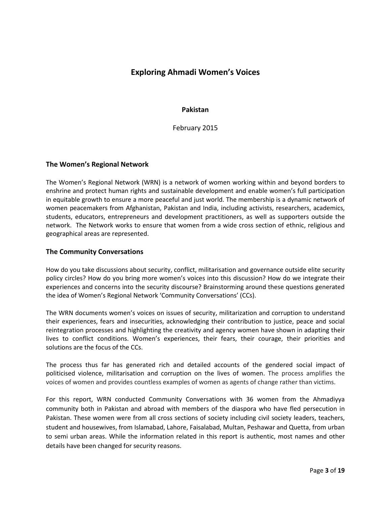# **Exploring Ahmadi Women's Voices**

**Pakistan**

February 2015

## **The Women's Regional Network**

The Women's Regional Network (WRN) is a network of women working within and beyond borders to enshrine and protect human rights and sustainable development and enable women's full participation in equitable growth to ensure a more peaceful and just world. The membership is a dynamic network of women peacemakers from Afghanistan, Pakistan and India, including activists, researchers, academics, students, educators, entrepreneurs and development practitioners, as well as supporters outside the network. The Network works to ensure that women from a wide cross section of ethnic, religious and geographical areas are represented.

## **The Community Conversations**

How do you take discussions about security, conflict, militarisation and governance outside elite security policy circles? How do you bring more women's voices into this discussion? How do we integrate their experiences and concerns into the security discourse? Brainstorming around these questions generated the idea of Women's Regional Network 'Community Conversations' (CCs).

The WRN documents women's voices on issues of security, militarization and corruption to understand their experiences, fears and insecurities, acknowledging their contribution to justice, peace and social reintegration processes and highlighting the creativity and agency women have shown in adapting their lives to conflict conditions. Women's experiences, their fears, their courage, their priorities and solutions are the focus of the CCs.

The process thus far has generated rich and detailed accounts of the gendered social impact of politicised violence, militarisation and corruption on the lives of women. The process amplifies the voices of women and provides countless examples of women as agents of change rather than victims.

For this report, WRN conducted Community Conversations with 36 women from the Ahmadiyya community both in Pakistan and abroad with members of the diaspora who have fled persecution in Pakistan. These women were from all cross sections of society including civil society leaders, teachers, student and housewives, from Islamabad, Lahore, Faisalabad, Multan, Peshawar and Quetta, from urban to semi urban areas. While the information related in this report is authentic, most names and other details have been changed for security reasons.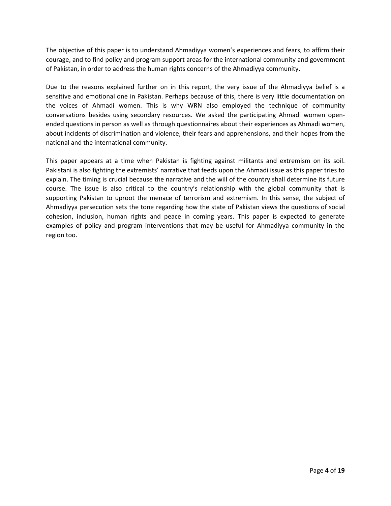The objective of this paper is to understand Ahmadiyya women's experiences and fears, to affirm their courage, and to find policy and program support areas for the international community and government of Pakistan, in order to address the human rights concerns of the Ahmadiyya community.

Due to the reasons explained further on in this report, the very issue of the Ahmadiyya belief is a sensitive and emotional one in Pakistan. Perhaps because of this, there is very little documentation on the voices of Ahmadi women. This is why WRN also employed the technique of community conversations besides using secondary resources. We asked the participating Ahmadi women openended questions in person as well as through questionnaires about their experiences as Ahmadi women, about incidents of discrimination and violence, their fears and apprehensions, and their hopes from the national and the international community.

This paper appears at a time when Pakistan is fighting against militants and extremism on its soil. Pakistani is also fighting the extremists' narrative that feeds upon the Ahmadi issue as this paper tries to explain. The timing is crucial because the narrative and the will of the country shall determine its future course. The issue is also critical to the country's relationship with the global community that is supporting Pakistan to uproot the menace of terrorism and extremism. In this sense, the subject of Ahmadiyya persecution sets the tone regarding how the state of Pakistan views the questions of social cohesion, inclusion, human rights and peace in coming years. This paper is expected to generate examples of policy and program interventions that may be useful for Ahmadiyya community in the region too.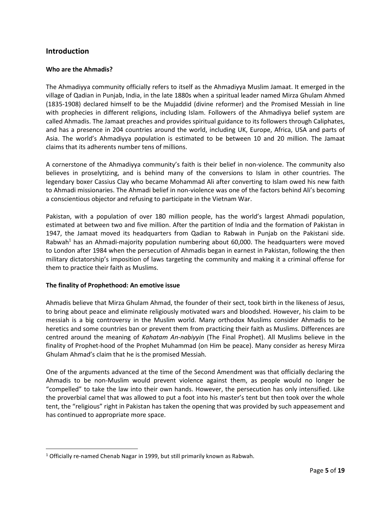# **Introduction**

## **Who are the Ahmadis?**

The Ahmadiyya community officially refers to itself as the Ahmadiyya Muslim Jamaat. It emerged in the village of Qadian in Punjab, India, in the late 1880s when a spiritual leader named Mirza Ghulam Ahmed (1835-1908) declared himself to be the Mujaddid (divine reformer) and the Promised Messiah in line with prophecies in different religions, including Islam. Followers of the Ahmadiyya belief system are called Ahmadis. The Jamaat preaches and provides spiritual guidance to its followers through Caliphates, and has a presence in 204 countries around the world, including UK, Europe, Africa, USA and parts of Asia. The world's Ahmadiyya population is estimated to be between 10 and 20 million. The Jamaat claims that its adherents number tens of millions.

A cornerstone of the Ahmadiyya community's faith is their belief in non-violence. The community also believes in proselytizing, and is behind many of the conversions to Islam in other countries. The legendary boxer Cassius Clay who became Mohammad Ali after converting to Islam owed his new faith to Ahmadi missionaries. The Ahmadi belief in non-violence was one of the factors behind Ali's becoming a conscientious objector and refusing to participate in the Vietnam War.

Pakistan, with a population of over 180 million people, has the world's largest Ahmadi population, estimated at between two and five million. After the partition of India and the formation of Pakistan in 1947, the Jamaat moved its headquarters from Qadian to Rabwah in Punjab on the Pakistani side. Rabwah<sup>1</sup> has an Ahmadi-majority population numbering about  $60,000$ . The headquarters were moved to London after 1984 when the persecution of Ahmadis began in earnest in Pakistan, following the then military dictatorship's imposition of laws targeting the community and making it a criminal offense for them to practice their faith as Muslims.

## **The finality of Prophethood: An emotive issue**

 $\overline{\phantom{a}}$ 

Ahmadis believe that Mirza Ghulam Ahmad, the founder of their sect, took birth in the likeness of Jesus, to bring about peace and eliminate religiously motivated wars and bloodshed. However, his claim to be messiah is a big controversy in the Muslim world. Many orthodox Muslims consider Ahmadis to be heretics and some countries ban or prevent them from practicing their faith as Muslims. Differences are centred around the meaning of *Kahatam An-nabiyyin* (The Final Prophet). All Muslims believe in the finality of Prophet-hood of the Prophet Muhammad (on Him be peace). Many consider as heresy Mirza Ghulam Ahmad's claim that he is the promised Messiah.

One of the arguments advanced at the time of the Second Amendment was that officially declaring the Ahmadis to be non-Muslim would prevent violence against them, as people would no longer be "compelled" to take the law into their own hands. However, the persecution has only intensified. Like the proverbial camel that was allowed to put a foot into his master's tent but then took over the whole tent, the "religious" right in Pakistan has taken the opening that was provided by such appeasement and has continued to appropriate more space.

<sup>&</sup>lt;sup>1</sup> Officially re-named Chenab Nagar in 1999, but still primarily known as Rabwah.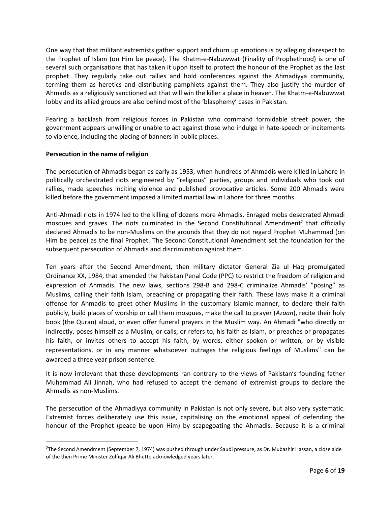One way that that militant extremists gather support and churn up emotions is by alleging disrespect to the Prophet of Islam (on Him be peace). The Khatm-e-Nabuwwat (Finality of Prophethood) is one of several such organisations that has taken it upon itself to protect the honour of the Prophet as the last prophet. They regularly take out rallies and hold conferences against the Ahmadiyya community, terming them as heretics and distributing pamphlets against them. They also justify the murder of Ahmadis as a religiously sanctioned act that will win the killer a place in heaven. The Khatm-e-Nabuwwat lobby and its allied groups are also behind most of the 'blasphemy' cases in Pakistan.

Fearing a backlash from religious forces in Pakistan who command formidable street power, the government appears unwilling or unable to act against those who indulge in hate-speech or incitements to violence, including the placing of banners in public places.

## **Persecution in the name of religion**

 $\overline{\phantom{a}}$ 

The persecution of Ahmadis began as early as 1953, when hundreds of Ahmadis were killed in Lahore in politically orchestrated riots engineered by "religious" parties, groups and individuals who took out rallies, made speeches inciting violence and published provocative articles. Some 200 Ahmadis were killed before the government imposed a limited martial law in Lahore for three months.

Anti-Ahmadi riots in 1974 led to the killing of dozens more Ahmadis. Enraged mobs desecrated Ahmadi mosques and graves. The riots culminated in the Second Constitutional Amendment<sup>2</sup> that officially declared Ahmadis to be non-Muslims on the grounds that they do not regard Prophet Muhammad (on Him be peace) as the final Prophet. The Second Constitutional Amendment set the foundation for the subsequent persecution of Ahmadis and discrimination against them.

Ten years after the Second Amendment, then military dictator General Zia ul Haq promulgated Ordinance XX, 1984, that amended the Pakistan Penal Code (PPC) to restrict the freedom of religion and expression of Ahmadis. The new laws, sections 298-B and 298-C criminalize Ahmadis' "posing" as Muslims, calling their faith Islam, preaching or propagating their faith. These laws make it a criminal offense for Ahmadis to greet other Muslims in the customary Islamic manner, to declare their faith publicly, build places of worship or call them mosques, make the call to prayer (*Azaan*), recite their holy book (the Quran) aloud, or even offer funeral prayers in the Muslim way. An Ahmadi "who directly or indirectly, poses himself as a Muslim, or calls, or refers to, his faith as Islam, or preaches or propagates his faith, or invites others to accept his faith, by words, either spoken or written, or by visible representations, or in any manner whatsoever outrages the religious feelings of Muslims" can be awarded a three year prison [sentence](http://www.pakistani.org/pakistan/legislation/1860/actXLVof1860.html).

It is now irrelevant that these developments ran contrary to the views of Pakistan's founding father Muhammad Ali Jinnah, who had refused to accept the demand of extremist groups to declare the Ahmadis as non-Muslims.

The persecution of the Ahmadiyya community in Pakistan is not only severe, but also very systematic. Extremist forces deliberately use this issue, capitalising on the emotional appeal of defending the honour of the Prophet (peace be upon Him) by scapegoating the Ahmadis. Because it is a criminal

<sup>&</sup>lt;sup>2</sup>The Second Amendment (September 7, 1974) was pushed through under Saudi pressure, as Dr. Mubashir Hassan, a close aide of the then Prime Minister Zulfiqar Ali Bhutto acknowledged years later.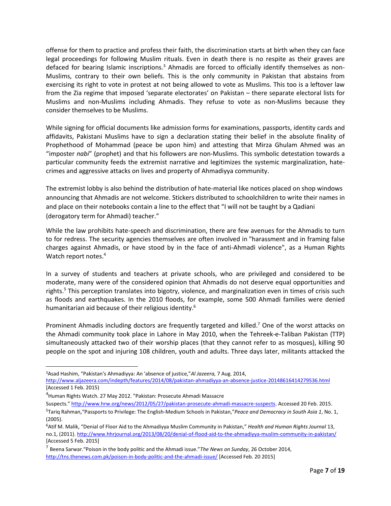offense for them to practice and profess their faith, the discrimination starts at birth when they can face legal proceedings for following Muslim rituals. Even in death there is no respite as their graves are defaced for bearing Islamic inscriptions.<sup>3</sup> Ahmadis are forced to officially identify themselves as non-Muslims, contrary to their own beliefs. This is the only community in Pakistan that abstains from exercising its right to vote in protest at not being allowed to vote as Muslims. This too is a leftover law from the Zia regime that imposed 'separate electorates' on Pakistan – there separate electoral lists for Muslims and non-Muslims including Ahmadis. They refuse to vote as non-Muslims because they consider themselves to be Muslims.

While signing for official documents like admission forms for examinations, passports, identity cards and affidavits, Pakistani Muslims have to sign a declaration stating their belief in the absolute finality of Prophethood of Mohammad (peace be upon him) and attesting that Mirza Ghulam Ahmed was an "imposter *nabi*" (prophet) and that his followers are non-Muslims. This symbolic detestation towards a particular community feeds the extremist narrative and legitimizes the systemic marginalization, hatecrimes and aggressive attacks on lives and property of Ahmadiyya community.

The extremist lobby is also behind the distribution of hate-material like notices placed on shop windows announcing that Ahmadis are not welcome. Stickers distributed to schoolchildren to write their names in and place on their notebooks contain a line to the effect that "I will not be taught by a Qadiani (derogatory term for Ahmadi) teacher."

While the law prohibits hate-speech and discrimination, there are few avenues for the Ahmadis to turn to for redress. The security agencies themselves are often involved in "harassment and in framing false charges against Ahmadis, or have stood by in the face of anti-Ahmadi violence", as a Human Rights Watch report notes. 4

In a survey of students and teachers at private schools, who are privileged and considered to be moderate, many were of the considered opinion that Ahmadis do not deserve equal opportunities and rights. <sup>5</sup> This perception translates into bigotry, violence, and marginalization even in times of crisis such as floods and earthquakes. In the 2010 floods, for example, some 500 Ahmadi families were denied humanitarian aid because of their religious identity.<sup>6</sup>

Prominent Ahmadis including doctors are frequently targeted and killed.<sup>7</sup> One of the worst attacks on the Ahmadi community took place in Lahore in May 2010, when the Tehreek-e-Taliban Pakistan (TTP) simultaneously attacked two of their worship places (that they cannot refer to as mosques), killing 90 people on the spot and injuring 108 children, youth and adults. Three days later, militants attacked the

 $\overline{\phantom{a}}$ 

<sup>3</sup>Asad Hashim, "Pakistan's Ahmadiyya: An 'absence of justice,"*Al Jazeera,* 7 Aug. 2014,

<http://www.aljazeera.com/indepth/features/2014/08/pakistan-ahmadiyya-an-absence-justice-20148616414279536.html> [Accessed 1 Feb. 2015)

<sup>4</sup>Human Rights Watch. 27 May 2012. "Pakistan: Prosecute Ahmadi Massacre

Suspects." [http://www.hrw.org/news/2012/05/27/pakistan-prosecute-ahmadi-massacre-suspects.](http://www.hrw.org/news/2012/05/27/pakistan-prosecute-ahmadi-massacre-suspects) Accessed 20 Feb. 2015.

<sup>5</sup> Tariq Rahman,"Passports to Privilege: The English-Medium Schools in Pakistan,"*Peace [and Democracy in South Asia](http://www.thdl.org/texts/reprints/pdsa/pdsa_01_01_04.pdf) 1*, No. 1, (2005).

<sup>6</sup>Atif M. Malik, "Denial of Floor Aid to the Ahmadiyya Muslim Community in Pakistan," *Health and Human Rights Journal* 13, no.1, (2011). <http://www.hhrjournal.org/2013/08/20/denial-of-flood-aid-to-the-ahmadiyya-muslim-community-in-pakistan/> [Accessed 5 Feb. 2015]

<sup>7</sup> Beena Sarwar."Poison in the body politic and the Ahmadi issue."*The News on Sunday*, 26 October 2014, <http://tns.thenews.com.pk/poison-in-body-politic-and-the-ahmadi-issue/> [Accessed Feb. 20 2015]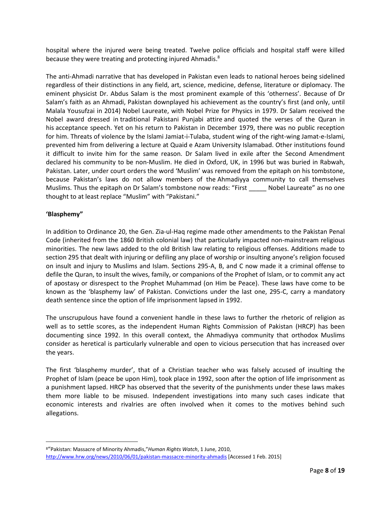hospital where the injured were being treated. Twelve police officials and hospital staff were killed because they were treating and protecting injured Ahmadis.<sup>8</sup>

The anti-Ahmadi narrative that has developed in Pakistan even leads to national heroes being sidelined regardless of their distinctions in any field, art, science, medicine, defense, literature or diplomacy. The eminent physicist Dr. Abdus Salam is the most prominent example of this 'otherness'. Because of Dr Salam's faith as an Ahmadi, Pakistan downplayed his achievement as the country's first (and only, until Malala Yousufzai in 2014) Nobel Laureate, with Nobel Prize for Physics in 1979. Dr Salam received the Nobel award dressed in traditional Pakistani Punjabi attire and quoted the verses of the Quran in his acceptance speech. Yet on his return to Pakistan in December 1979, there was no public reception for him. Threats of violence by the Islami Jamiat-i-Tulaba, student wing of the right-wing Jamat-e-Islami, prevented him from delivering a lecture at Quaid e Azam University Islamabad. Other institutions found it difficult to invite him for the same reason. Dr Salam lived in exile after the Second Amendment declared his community to be non-Muslim. He died in Oxford, UK, in 1996 but was buried in Rabwah, Pakistan. Later, under court orders the word 'Muslim' was removed from the epitaph on his tombstone, because Pakistan's laws do not allow members of the Ahmadiyya community to call themselves Muslims. Thus the epitaph on Dr Salam's tombstone now reads: "First \_\_\_\_\_ Nobel Laureate" as no one thought to at least replace "Muslim" with "Pakistani."

## **'Blasphemy"**

 $\overline{\phantom{a}}$ 

In addition to Ordinance 20, the Gen. Zia-ul-Haq regime made other amendments to the Pakistan Penal Code (inherited from the 1860 British colonial law) that particularly impacted non-mainstream religious minorities. The new laws added to the old British law relating to religious offenses. Additions made to section 295 that dealt with injuring or defiling any place of worship or insulting anyone's religion focused on insult and injury to Muslims and Islam. Sections 295-A, B, and C now made it a criminal offense to defile the Quran, to insult the wives, family, or companions of the Prophet of Islam, or to commit any act of apostasy or disrespect to the Prophet Muhammad (on Him be Peace). These laws have come to be known as the 'blasphemy law' of Pakistan. Convictions under the last one, 295-C, carry a mandatory death sentence since the option of life imprisonment lapsed in 1992.

The unscrupulous have found a convenient handle in these laws to further the rhetoric of religion as well as to settle scores, as the independent Human Rights Commission of Pakistan (HRCP) has been documenting since 1992. In this overall context, the Ahmadiyya community that orthodox Muslims consider as heretical is particularly vulnerable and open to vicious persecution that has increased over the years.

The first 'blasphemy murder', that of a Christian teacher who was falsely accused of insulting the Prophet of Islam (peace be upon Him), took place in 1992, soon after the option of life imprisonment as a punishment lapsed. HRCP has observed that the severity of the punishments under these laws makes them more liable to be misused. Independent investigations into many such cases indicate that economic interests and rivalries are often involved when it comes to the motives behind such allegations.

<sup>8</sup>"[Pakistan: Massacre of Minority Ahmadis,](http://www.hrw.org/news/2010/06/01/pakistan-massacre-minority-ahmadis)"*Human Rights Watch*, 1 June, 2010, <http://www.hrw.org/news/2010/06/01/pakistan-massacre-minority-ahmadis> [Accessed 1 Feb. 2015]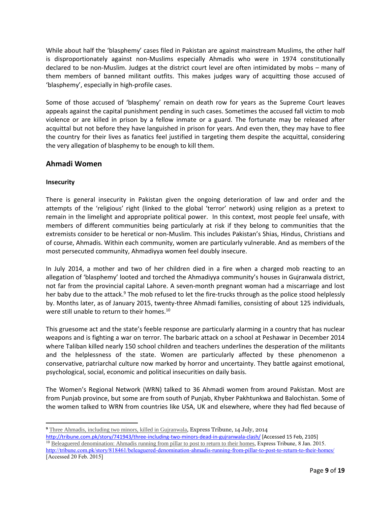While about half the 'blasphemy' cases filed in Pakistan are against mainstream Muslims, the other half is disproportionately against non-Muslims especially Ahmadis who were in 1974 constitutionally declared to be non-Muslim. Judges at the district court level are often intimidated by mobs – many of them members of banned militant outfits. This makes judges wary of acquitting those accused of 'blasphemy', especially in high-profile cases.

Some of those accused of 'blasphemy' remain on death row for years as the Supreme Court leaves appeals against the capital punishment pending in such cases. Sometimes the accused fall victim to mob violence or are killed in prison by a fellow inmate or a guard. The fortunate may be released after acquittal but not before they have languished in prison for years. And even then, they may have to flee the country for their lives as fanatics feel justified in targeting them despite the acquittal, considering the very allegation of blasphemy to be enough to kill them.

# **Ahmadi Women**

## **Insecurity**

 $\overline{\phantom{a}}$ 

There is general insecurity in Pakistan given the ongoing deterioration of law and order and the attempts of the 'religious' right (linked to the global 'terror' network) using religion as a pretext to remain in the limelight and appropriate political power. In this context, most people feel unsafe, with members of different communities being particularly at risk if they belong to communities that the extremists consider to be heretical or non-Muslim. This includes Pakistan's Shias, Hindus, Christians and of course, Ahmadis. Within each community, women are particularly vulnerable. And as members of the most persecuted community, Ahmadiyya women feel doubly insecure.

In July 2014, a mother and two of her children died in a fire when a charged mob reacting to an allegation of 'blasphemy' looted and torched the Ahmadiyya community's houses in Gujranwala district, not far from the provincial capital Lahore. A seven-month pregnant woman had a miscarriage and lost her baby due to the attack.<sup>9</sup> The mob refused to let the fire-trucks through as the police stood helplessly by. Months later, as of January 2015, twenty-three Ahmadi families, consisting of about 125 individuals, were still unable to return to their homes.<sup>10</sup>

This gruesome act and the state's feeble response are particularly alarming in a country that has nuclear weapons and is fighting a war on terror. The barbaric attack on a school at Peshawar in December 2014 where Taliban killed nearly 150 school children and teachers underlines the desperation of the militants and the helplessness of the state. Women are particularly affected by these phenomenon a conservative, patriarchal culture now marked by horror and uncertainty. They battle against emotional, psychological, social, economic and political insecurities on daily basis.

The Women's Regional Network (WRN) talked to 36 Ahmadi women from around Pakistan. Most are from Punjab province, but some are from south of Punjab, Khyber Pakhtunkwa and Balochistan. Some of the women talked to WRN from countries like USA, UK and elsewhere, where they had fled because of

**<sup>9</sup>** Three Ahmadis, including two minors, killed in [Gujranwala](http://tribune.com.pk/story/741943/three-including-two-minors-dead-in-gujranwala-clash/), Express Tribune, 14 July, 2014 <http://tribune.com.pk/story/741943/three-including-two-minors-dead-in-gujranwala-clash/> [Accessed 15 Feb, 2105] <sup>10</sup> Beleaguered [denomination:](http://tribune.com.pk/story/818461/beleaguered-denomination-ahmadis-running-from-pillar-to-post-to-return-to-their-homes/) Ahmadis running from pillar to post to return to their homes, Express Tribune, 8 Jan. 2015. <http://tribune.com.pk/story/818461/beleaguered-denomination-ahmadis-running-from-pillar-to-post-to-return-to-their-homes/> [Accessed 20 Feb. 2015]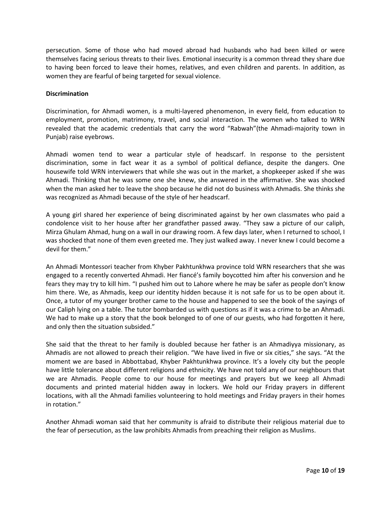persecution. Some of those who had moved abroad had husbands who had been killed or were themselves facing serious threats to their lives. Emotional insecurity is a common thread they share due to having been forced to leave their homes, relatives, and even children and parents. In addition, as women they are fearful of being targeted for sexual violence.

#### **Discrimination**

Discrimination, for Ahmadi women, is a multi-layered phenomenon, in every field, from education to employment, promotion, matrimony, travel, and social interaction. The women who talked to WRN revealed that the academic credentials that carry the word "Rabwah"(the Ahmadi-majority town in Punjab) raise eyebrows.

Ahmadi women tend to wear a particular style of headscarf. In response to the persistent discrimination, some in fact wear it as a symbol of political defiance, despite the dangers. One housewife told WRN interviewers that while she was out in the market, a shopkeeper asked if she was Ahmadi. Thinking that he was some one she knew, she answered in the affirmative. She was shocked when the man asked her to leave the shop because he did not do business with Ahmadis. She thinks she was recognized as Ahmadi because of the style of her headscarf.

A young girl shared her experience of being discriminated against by her own classmates who paid a condolence visit to her house after her grandfather passed away. "They saw a picture of our caliph, Mirza Ghulam Ahmad, hung on a wall in our drawing room. A few days later, when I returned to school, I was shocked that none of them even greeted me. They just walked away. I never knew I could become a devil for them."

An Ahmadi Montessori teacher from Khyber Pakhtunkhwa province told WRN researchers that she was engaged to a recently converted Ahmadi. Her fiancé's family boycotted him after his conversion and he fears they may try to kill him. "I pushed him out to Lahore where he may be safer as people don't know him there. We, as Ahmadis, keep our identity hidden because it is not safe for us to be open about it. Once, a tutor of my younger brother came to the house and happened to see the book of the sayings of our Caliph lying on a table. The tutor bombarded us with questions as if it was a crime to be an Ahmadi. We had to make up a story that the book belonged to of one of our guests, who had forgotten it here, and only then the situation subsided."

She said that the threat to her family is doubled because her father is an Ahmadiyya missionary, as Ahmadis are not allowed to preach their religion. "We have lived in five or six cities," she says. "At the moment we are based in Abbottabad, Khyber Pakhtunkhwa province. It's a lovely city but the people have little tolerance about different religions and ethnicity. We have not told any of our neighbours that we are Ahmadis. People come to our house for meetings and prayers but we keep all Ahmadi documents and printed material hidden away in lockers. We hold our Friday prayers in different locations, with all the Ahmadi families volunteering to hold meetings and Friday prayers in their homes in rotation."

Another Ahmadi woman said that her community is afraid to distribute their religious material due to the fear of persecution, as the law prohibits Ahmadis from preaching their religion as Muslims.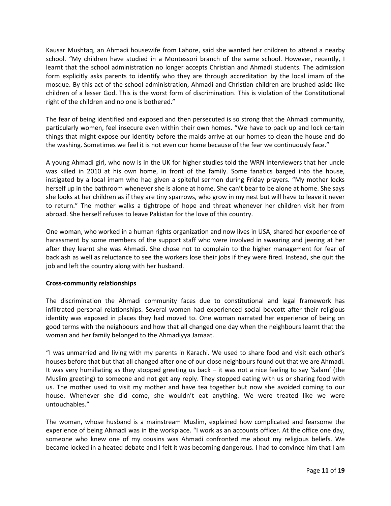Kausar Mushtaq, an Ahmadi housewife from Lahore, said she wanted her children to attend a nearby school. "My children have studied in a Montessori branch of the same school. However, recently, I learnt that the school administration no longer accepts Christian and Ahmadi students. The admission form explicitly asks parents to identify who they are through accreditation by the local imam of the mosque. By this act of the school administration, Ahmadi and Christian children are brushed aside like children of a lesser God. This is the worst form of discrimination. This is violation of the Constitutional right of the children and no one is bothered."

The fear of being identified and exposed and then persecuted is so strong that the Ahmadi community, particularly women, feel insecure even within their own homes. "We have to pack up and lock certain things that might expose our identity before the maids arrive at our homes to clean the house and do the washing. Sometimes we feel it is not even our home because of the fear we continuously face."

A young Ahmadi girl, who now is in the UK for higher studies told the WRN interviewers that her uncle was killed in 2010 at his own home, in front of the family. Some fanatics barged into the house, instigated by a local imam who had given a spiteful sermon during Friday prayers. "My mother locks herself up in the bathroom whenever she is alone at home. She can't bear to be alone at home. She says she looks at her children as if they are tiny sparrows, who grow in my nest but will have to leave it never to return." The mother walks a tightrope of hope and threat whenever her children visit her from abroad. She herself refuses to leave Pakistan for the love of this country.

One woman, who worked in a human rights organization and now lives in USA, shared her experience of harassment by some members of the support staff who were involved in swearing and jeering at her after they learnt she was Ahmadi. She chose not to complain to the higher management for fear of backlash as well as reluctance to see the workers lose their jobs if they were fired. Instead, she quit the job and left the country along with her husband.

## **Cross-community relationships**

The discrimination the Ahmadi community faces due to constitutional and legal framework has infiltrated personal relationships. Several women had experienced social boycott after their religious identity was exposed in places they had moved to. One woman narrated her experience of being on good terms with the neighbours and how that all changed one day when the neighbours learnt that the woman and her family belonged to the Ahmadiyya Jamaat.

"I was unmarried and living with my parents in Karachi. We used to share food and visit each other's houses before that but that all changed after one of our close neighbours found out that we are Ahmadi. It was very humiliating as they stopped greeting us back – it was not a nice feeling to say 'Salam' (the Muslim greeting) to someone and not get any reply. They stopped eating with us or sharing food with us. The mother used to visit my mother and have tea together but now she avoided coming to our house. Whenever she did come, she wouldn't eat anything. We were treated like we were untouchables."

The woman, whose husband is a mainstream Muslim, explained how complicated and fearsome the experience of being Ahmadi was in the workplace. "I work as an accounts officer. At the office one day, someone who knew one of my cousins was Ahmadi confronted me about my religious beliefs. We became locked in a heated debate and I felt it was becoming dangerous. I had to convince him that I am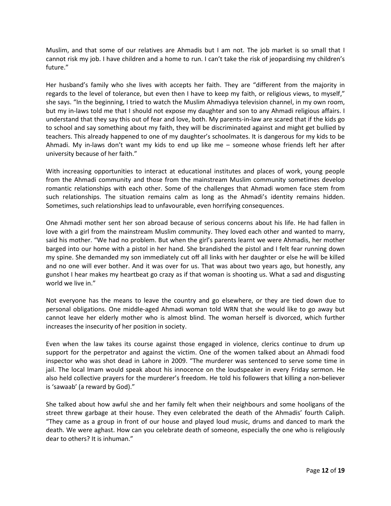Muslim, and that some of our relatives are Ahmadis but I am not. The job market is so small that I cannot risk my job. I have children and a home to run. I can't take the risk of jeopardising my children's future."

Her husband's family who she lives with accepts her faith. They are "different from the majority in regards to the level of tolerance, but even then I have to keep my faith, or religious views, to myself," she says. "In the beginning, I tried to watch the Muslim Ahmadiyya television channel, in my own room, but my in-laws told me that I should not expose my daughter and son to any Ahmadi religious affairs. I understand that they say this out of fear and love, both. My parents-in-law are scared that if the kids go to school and say something about my faith, they will be discriminated against and might get bullied by teachers. This already happened to one of my daughter's schoolmates. It is dangerous for my kids to be Ahmadi. My in-laws don't want my kids to end up like me – someone whose friends left her after university because of her faith."

With increasing opportunities to interact at educational institutes and places of work, young people from the Ahmadi community and those from the mainstream Muslim community sometimes develop romantic relationships with each other. Some of the challenges that Ahmadi women face stem from such relationships. The situation remains calm as long as the Ahmadi's identity remains hidden. Sometimes, such relationships lead to unfavourable, even horrifying consequences.

One Ahmadi mother sent her son abroad because of serious concerns about his life. He had fallen in love with a girl from the mainstream Muslim community. They loved each other and wanted to marry, said his mother. "We had no problem. But when the girl's parents learnt we were Ahmadis, her mother barged into our home with a pistol in her hand. She brandished the pistol and I felt fear running down my spine. She demanded my son immediately cut off all links with her daughter or else he will be killed and no one will ever bother. And it was over for us. That was about two years ago, but honestly, any gunshot I hear makes my heartbeat go crazy as if that woman is shooting us. What a sad and disgusting world we live in."

Not everyone has the means to leave the country and go elsewhere, or they are tied down due to personal obligations. One middle-aged Ahmadi woman told WRN that she would like to go away but cannot leave her elderly mother who is almost blind. The woman herself is divorced, which further increases the insecurity of her position in society.

Even when the law takes its course against those engaged in violence, clerics continue to drum up support for the perpetrator and against the victim. One of the women talked about an Ahmadi food inspector who was shot dead in Lahore in 2009. "The murderer was sentenced to serve some time in jail. The local Imam would speak about his innocence on the loudspeaker in every Friday sermon. He also held collective prayers for the murderer's freedom. He told his followers that killing a non-believer is 'sawaab' (a reward by God)."

She talked about how awful she and her family felt when their neighbours and some hooligans of the street threw garbage at their house. They even celebrated the death of the Ahmadis' fourth Caliph. "They came as a group in front of our house and played loud music, drums and danced to mark the death. We were aghast. How can you celebrate death of someone, especially the one who is religiously dear to others? It is inhuman."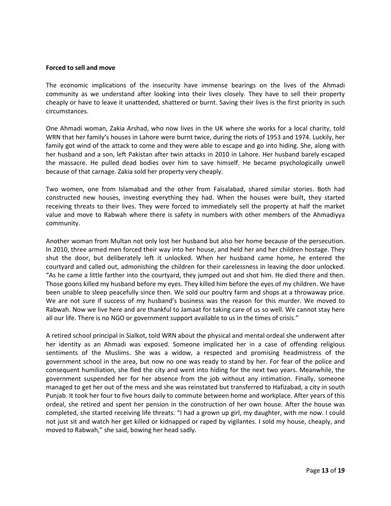#### **Forced to sell and move**

The economic implications of the insecurity have immense bearings on the lives of the Ahmadi community as we understand after looking into their lives closely. They have to sell their property cheaply or have to leave it unattended, shattered or burnt. Saving their lives is the first priority in such circumstances.

One Ahmadi woman, Zakia Arshad, who now lives in the UK where she works for a local charity, told WRN that her family's houses in Lahore were burnt twice, during the riots of 1953 and 1974. Luckily, her family got wind of the attack to come and they were able to escape and go into hiding. She, along with her husband and a son, left Pakistan after twin attacks in 2010 in Lahore. Her husband barely escaped the massacre. He pulled dead bodies over him to save himself. He became psychologically unwell because of that carnage. Zakia sold her property very cheaply.

Two women, one from Islamabad and the other from Faisalabad, shared similar stories. Both had constructed new houses, investing everything they had. When the houses were built, they started receiving threats to their lives. They were forced to immediately sell the property at half the market value and move to Rabwah where there is safety in numbers with other members of the Ahmadiyya community.

Another woman from Multan not only lost her husband but also her home because of the persecution. In 2010, three armed men forced their way into her house, and held her and her children hostage. They shut the door, but deliberately left it unlocked. When her husband came home, he entered the courtyard and called out, admonishing the children for their carelessness in leaving the door unlocked. "As he came a little farther into the courtyard, they jumped out and shot him. He died there and then. Those goons killed my husband before my eyes. They killed him before the eyes of my children. We have been unable to sleep peacefully since then. We sold our poultry farm and shops at a throwaway price. We are not sure if success of my husband's business was the reason for this murder. We moved to Rabwah. Now we live here and are thankful to Jamaat for taking care of us so well. We cannot stay here all our life. There is no NGO or government support available to us in the times of crisis."

A retired school principal in Sialkot, told WRN about the physical and mental ordeal she underwent after her identity as an Ahmadi was exposed. Someone implicated her in a case of offending religious sentiments of the Muslims. She was a widow, a respected and promising headmistress of the government school in the area, but now no one was ready to stand by her. For fear of the police and consequent humiliation, she fled the city and went into hiding for the next two years. Meanwhile, the government suspended her for her absence from the job without any intimation. Finally, someone managed to get her out of the mess and she was reinstated but transferred to Hafizabad, a city in south Punjab. It took her four to five hours daily to commute between home and workplace. After years of this ordeal, she retired and spent her pension in the construction of her own house. After the house was completed, she started receiving life threats. "I had a grown up girl, my daughter, with me now. I could not just sit and watch her get killed or kidnapped or raped by vigilantes. I sold my house, cheaply, and moved to Rabwah," she said, bowing her head sadly.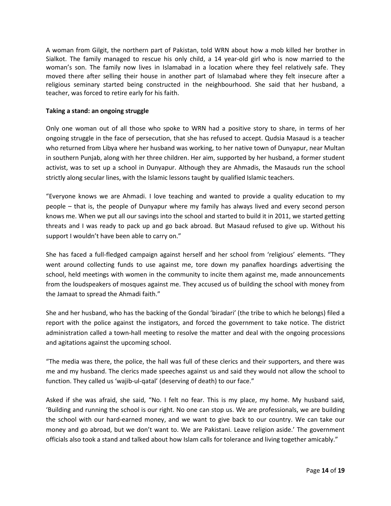A woman from Gilgit, the northern part of Pakistan, told WRN about how a mob killed her brother in Sialkot. The family managed to rescue his only child, a 14 year-old girl who is now married to the woman's son. The family now lives in Islamabad in a location where they feel relatively safe. They moved there after selling their house in another part of Islamabad where they felt insecure after a religious seminary started being constructed in the neighbourhood. She said that her husband, a teacher, was forced to retire early for his faith.

## **Taking a stand: an ongoing struggle**

Only one woman out of all those who spoke to WRN had a positive story to share, in terms of her ongoing struggle in the face of persecution, that she has refused to accept. Qudsia Masaud is a teacher who returned from Libya where her husband was working, to her native town of Dunyapur, near Multan in southern Punjab, along with her three children. Her aim, supported by her husband, a former student activist, was to set up a school in Dunyapur. Although they are Ahmadis, the Masauds run the school strictly along secular lines, with the Islamic lessons taught by qualified Islamic teachers.

"Everyone knows we are Ahmadi. I love teaching and wanted to provide a quality education to my people – that is, the people of Dunyapur where my family has always lived and every second person knows me. When we put all our savings into the school and started to build it in 2011, we started getting threats and I was ready to pack up and go back abroad. But Masaud refused to give up. Without his support I wouldn't have been able to carry on."

She has faced a full-fledged campaign against herself and her school from 'religious' elements. "They went around collecting funds to use against me, tore down my panaflex hoardings advertising the school, held meetings with women in the community to incite them against me, made announcements from the loudspeakers of mosques against me. They accused us of building the school with money from the Jamaat to spread the Ahmadi faith."

She and her husband, who has the backing of the Gondal 'biradari' (the tribe to which he belongs) filed a report with the police against the instigators, and forced the government to take notice. The district administration called a town-hall meeting to resolve the matter and deal with the ongoing processions and agitations against the upcoming school.

"The media was there, the police, the hall was full of these clerics and their supporters, and there was me and my husband. The clerics made speeches against us and said they would not allow the school to function. They called us 'wajib-ul-qatal' (deserving of death) to our face."

Asked if she was afraid, she said, "No. I felt no fear. This is my place, my home. My husband said, 'Building and running the school is our right. No one can stop us. We are professionals, we are building the school with our hard-earned money, and we want to give back to our country. We can take our money and go abroad, but we don't want to. We are Pakistani. Leave religion aside.' The government officials also took a stand and talked about how Islam calls for tolerance and living together amicably."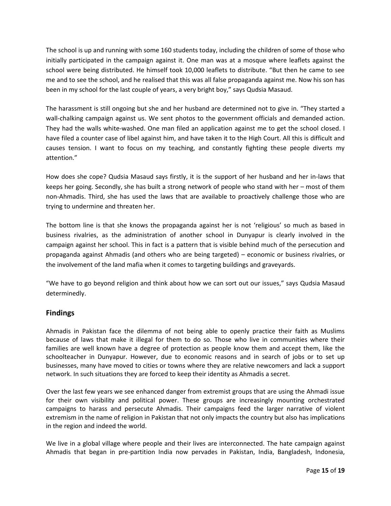The school is up and running with some 160 students today, including the children of some of those who initially participated in the campaign against it. One man was at a mosque where leaflets against the school were being distributed. He himself took 10,000 leaflets to distribute. "But then he came to see me and to see the school, and he realised that this was all false propaganda against me. Now his son has been in my school for the last couple of years, a very bright boy," says Qudsia Masaud.

The harassment is still ongoing but she and her husband are determined not to give in. "They started a wall-chalking campaign against us. We sent photos to the government officials and demanded action. They had the walls white-washed. One man filed an application against me to get the school closed. I have filed a counter case of libel against him, and have taken it to the High Court. All this is difficult and causes tension. I want to focus on my teaching, and constantly fighting these people diverts my attention."

How does she cope? Qudsia Masaud says firstly, it is the support of her husband and her in-laws that keeps her going. Secondly, she has built a strong network of people who stand with her – most of them non-Ahmadis. Third, she has used the laws that are available to proactively challenge those who are trying to undermine and threaten her.

The bottom line is that she knows the propaganda against her is not 'religious' so much as based in business rivalries, as the administration of another school in Dunyapur is clearly involved in the campaign against her school. This in fact is a pattern that is visible behind much of the persecution and propaganda against Ahmadis (and others who are being targeted) – economic or business rivalries, or the involvement of the land mafia when it comes to targeting buildings and graveyards.

"We have to go beyond religion and think about how we can sort out our issues," says Qudsia Masaud determinedly.

# **Findings**

Ahmadis in Pakistan face the dilemma of not being able to openly practice their faith as Muslims because of laws that make it illegal for them to do so. Those who live in communities where their families are well known have a degree of protection as people know them and accept them, like the schoolteacher in Dunyapur. However, due to economic reasons and in search of jobs or to set up businesses, many have moved to cities or towns where they are relative newcomers and lack a support network. In such situations they are forced to keep their identity as Ahmadis a secret.

Over the last few years we see enhanced danger from extremist groups that are using the Ahmadi issue for their own visibility and political power. These groups are increasingly mounting orchestrated campaigns to harass and persecute Ahmadis. Their campaigns feed the larger narrative of violent extremism in the name of religion in Pakistan that not only impacts the country but also has implications in the region and indeed the world.

We live in a global village where people and their lives are interconnected. The hate campaign against Ahmadis that began in pre-partition India now pervades in Pakistan, India, Bangladesh, Indonesia,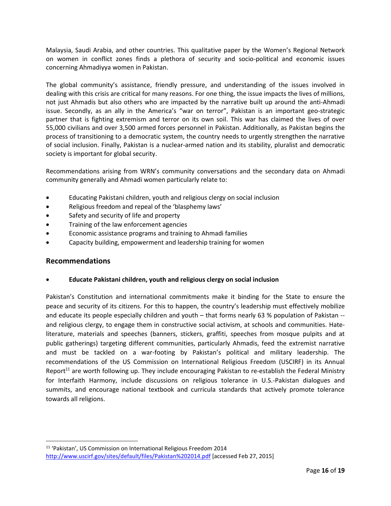Malaysia, Saudi Arabia, and other countries. This qualitative paper by the Women's Regional Network on women in conflict zones finds a plethora of security and socio-political and economic issues concerning Ahmadiyya women in Pakistan.

The global community's assistance, friendly pressure, and understanding of the issues involved in dealing with this crisis are critical for many reasons. For one thing, the issue impacts the lives of millions, not just Ahmadis but also others who are impacted by the narrative built up around the anti-Ahmadi issue. Secondly, as an ally in the America's "war on terror", Pakistan is an important geo-strategic partner that is fighting extremism and terror on its own soil. This war has claimed the lives of over 55,000 civilians and over 3,500 armed forces personnel in Pakistan. Additionally, as Pakistan begins the process of transitioning to a democratic system, the country needs to urgently strengthen the narrative of social inclusion. Finally, Pakistan is a nuclear-armed nation and its stability, pluralist and democratic society is important for global security.

Recommendations arising from WRN's community conversations and the secondary data on Ahmadi community generally and Ahmadi women particularly relate to:

- Educating Pakistani children, youth and religious clergy on social inclusion
- Religious freedom and repeal of the 'blasphemy laws'
- Safety and security of life and property
- Training of the law enforcement agencies
- Economic assistance programs and training to Ahmadi families
- Capacity building, empowerment and leadership training for women

## **Recommendations**

l

## **Educate Pakistani children, youth and religious clergy on social inclusion**

Pakistan's Constitution and international commitments make it binding for the State to ensure the peace and security of its citizens. For this to happen, the country's leadership must effectively mobilize and educate its people especially children and youth – that forms nearly 63 % population of Pakistan - and religious clergy, to engage them in constructive social activism, at schools and communities. Hateliterature, materials and speeches (banners, stickers, graffiti, speeches from mosque pulpits and at public gatherings) targeting different communities, particularly Ahmadis, feed the extremist narrative and must be tackled on a war-footing by Pakistan's political and military leadership. The recommendations of the US Commission on International Religious Freedom (USCIRF) in its Annual Report<sup>11</sup> are worth following up. They include encouraging Pakistan to re-establish the Federal Ministry for Interfaith Harmony, include discussions on religious tolerance in U.S.-Pakistan dialogues and summits, and encourage national textbook and curricula standards that actively promote tolerance towards all religions.

<sup>11</sup> 'Pakistan', US Commission on International Religious Freedom 2014 <http://www.uscirf.gov/sites/default/files/Pakistan%202014.pdf> [accessed Feb 27, 2015]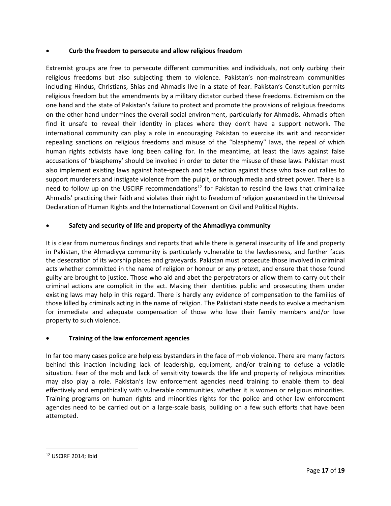## **Curb the freedom to persecute and allow religious freedom**

Extremist groups are free to persecute different communities and individuals, not only curbing their religious freedoms but also subjecting them to violence. Pakistan's non-mainstream communities including Hindus, Christians, Shias and Ahmadis live in a state of fear. Pakistan's Constitution permits religious freedom but the amendments by a military dictator curbed these freedoms. Extremism on the one hand and the state of Pakistan's failure to protect and promote the provisions of religious freedoms on the other hand undermines the overall social environment, particularly for Ahmadis. Ahmadis often find it unsafe to reveal their identity in places where they don't have a support network. The international community can play a role in encouraging Pakistan to exercise its writ and reconsider repealing sanctions on religious freedoms and misuse of the "blasphemy" laws, the repeal of which human rights activists have long been calling for. In the meantime, at least the laws against false accusations of 'blasphemy' should be invoked in order to deter the misuse of these laws. Pakistan must also implement existing laws against hate-speech and take action against those who take out rallies to support murderers and instigate violence from the pulpit, or through media and street power. There is a need to follow up on the USCIRF recommendations<sup>12</sup> for Pakistan to rescind the laws that criminalize Ahmadis' practicing their faith and violates their right to freedom of religion guaranteed in the Universal Declaration of Human Rights and the International Covenant on Civil and Political Rights.

# **Safety and security of life and property of the Ahmadiyya community**

It is clear from numerous findings and reports that while there is general insecurity of life and property in Pakistan, the Ahmadiyya community is particularly vulnerable to the lawlessness, and further faces the desecration of its worship places and graveyards. Pakistan must prosecute those involved in criminal acts whether committed in the name of religion or honour or any pretext, and ensure that those found guilty are brought to justice. Those who aid and abet the perpetrators or allow them to carry out their criminal actions are complicit in the act. Making their identities public and prosecuting them under existing laws may help in this regard. There is hardly any evidence of compensation to the families of those killed by criminals acting in the name of religion. The Pakistani state needs to evolve a mechanism for immediate and adequate compensation of those who lose their family members and/or lose property to such violence.

# **Training of the law enforcement agencies**

In far too many cases police are helpless bystanders in the face of mob violence. There are many factors behind this inaction including lack of leadership, equipment, and/or training to defuse a volatile situation. Fear of the mob and lack of sensitivity towards the life and property of religious minorities may also play a role. Pakistan's law enforcement agencies need training to enable them to deal effectively and empathically with vulnerable communities, whether it is women or religious minorities. Training programs on human rights and minorities rights for the police and other law enforcement agencies need to be carried out on a large-scale basis, building on a few such efforts that have been attempted.

 $\overline{\phantom{a}}$ 

<sup>12</sup> USCIRF 2014; Ibid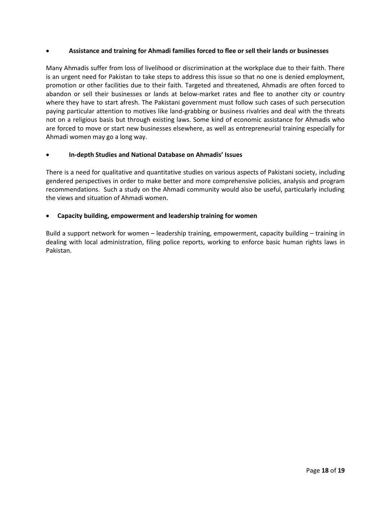## **Assistance and training for Ahmadi families forced to flee or sell their lands or businesses**

Many Ahmadis suffer from loss of livelihood or discrimination at the workplace due to their faith. There is an urgent need for Pakistan to take steps to address this issue so that no one is denied employment, promotion or other facilities due to their faith. Targeted and threatened, Ahmadis are often forced to abandon or sell their businesses or lands at below-market rates and flee to another city or country where they have to start afresh. The Pakistani government must follow such cases of such persecution paying particular attention to motives like land-grabbing or business rivalries and deal with the threats not on a religious basis but through existing laws. Some kind of economic assistance for Ahmadis who are forced to move or start new businesses elsewhere, as well as entrepreneurial training especially for Ahmadi women may go a long way.

## **In-depth Studies and National Database on Ahmadis' Issues**

There is a need for qualitative and quantitative studies on various aspects of Pakistani society, including gendered perspectives in order to make better and more comprehensive policies, analysis and program recommendations. Such a study on the Ahmadi community would also be useful, particularly including the views and situation of Ahmadi women.

## **Capacity building, empowerment and leadership training for women**

Build a support network for women – leadership training, empowerment, capacity building – training in dealing with local administration, filing police reports, working to enforce basic human rights laws in Pakistan.